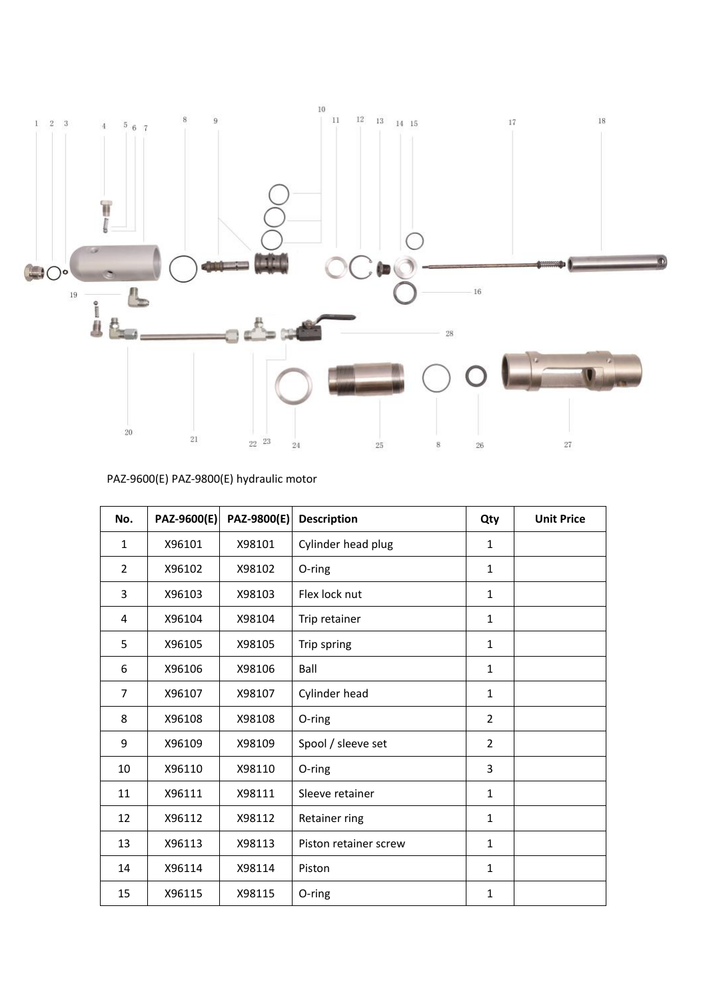

# PAZ-9600(E) PAZ-9800(E) hydraulic motor

| 20             |                                         |             |                       |                |                   |
|----------------|-----------------------------------------|-------------|-----------------------|----------------|-------------------|
|                | 21                                      | 22 23       | 24<br>8<br>25         | 26             | 27                |
|                | PAZ-9600(E) PAZ-9800(E) hydraulic motor |             |                       |                |                   |
| No.            | PAZ-9600(E)                             | PAZ-9800(E) | <b>Description</b>    | Qty            | <b>Unit Price</b> |
| $\mathbf{1}$   | X96101                                  | X98101      | Cylinder head plug    | $\mathbf{1}$   |                   |
| $\overline{2}$ | X96102                                  | X98102      | O-ring                | $\mathbf{1}$   |                   |
| 3              | X96103                                  | X98103      | Flex lock nut         | $\mathbf{1}$   |                   |
| 4              | X96104                                  | X98104      | Trip retainer         | $\mathbf{1}$   |                   |
| 5              | X96105                                  | X98105      | Trip spring           | $\mathbf{1}$   |                   |
| 6              | X96106                                  | X98106      | Ball                  | $\mathbf{1}$   |                   |
| $\overline{7}$ | X96107                                  | X98107      | Cylinder head         | $\mathbf{1}$   |                   |
| 8              | X96108                                  | X98108      | O-ring                | 2              |                   |
| 9              | X96109                                  | X98109      | Spool / sleeve set    | $\overline{2}$ |                   |
| 10             | X96110                                  | X98110      | O-ring                | 3              |                   |
| 11             | X96111                                  | X98111      | Sleeve retainer       | $\mathbf{1}$   |                   |
| 12             | X96112                                  | X98112      | Retainer ring         | $\mathbf{1}$   |                   |
| 13             | X96113                                  | X98113      | Piston retainer screw | $\mathbf{1}$   |                   |
| 14             | X96114                                  | X98114      | Piston                | $\mathbf{1}$   |                   |
| 15             | X96115                                  | X98115      | O-ring                | $\mathbf{1}$   |                   |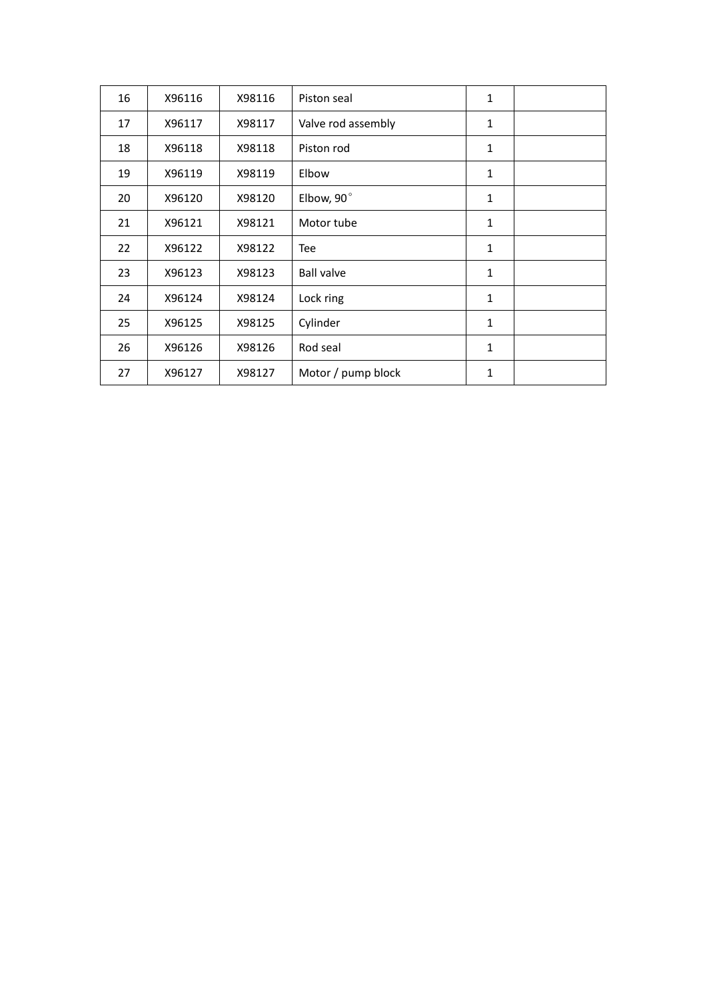| 16 | X96116 | X98116 | Piston seal        | 1 |  |
|----|--------|--------|--------------------|---|--|
| 17 | X96117 | X98117 | Valve rod assembly | 1 |  |
| 18 | X96118 | X98118 | Piston rod         | 1 |  |
| 19 | X96119 | X98119 | Elbow              | 1 |  |
| 20 | X96120 | X98120 | Elbow, 90°         | 1 |  |
| 21 | X96121 | X98121 | Motor tube         | 1 |  |
| 22 | X96122 | X98122 | Tee                | 1 |  |
| 23 | X96123 | X98123 | <b>Ball valve</b>  | 1 |  |
| 24 | X96124 | X98124 | Lock ring          | 1 |  |
| 25 | X96125 | X98125 | Cylinder           | 1 |  |
| 26 | X96126 | X98126 | Rod seal           | 1 |  |
| 27 | X96127 | X98127 | Motor / pump block | 1 |  |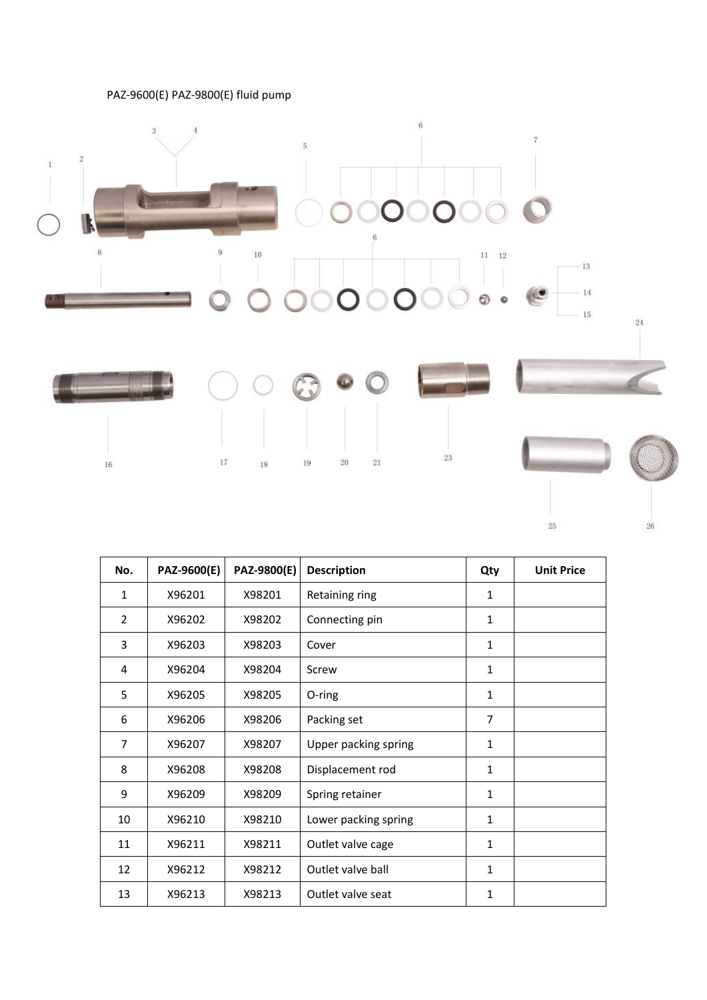#### PAZ-9600(E) PAZ-9800(E) fluid pump



| 16             |             | 17<br>18    | 20<br>21<br>19       | 23             |                   |
|----------------|-------------|-------------|----------------------|----------------|-------------------|
|                |             |             |                      |                | 25                |
| No.            | PAZ-9600(E) | PAZ-9800(E) | <b>Description</b>   | Qty            | <b>Unit Price</b> |
| $\mathbf{1}$   | X96201      | X98201      | Retaining ring       | $\mathbf{1}$   |                   |
| $\overline{2}$ | X96202      | X98202      | Connecting pin       | $\mathbf{1}$   |                   |
| 3              | X96203      | X98203      | Cover                | $\mathbf{1}$   |                   |
| 4              | X96204      | X98204      | Screw                | $\mathbf{1}$   |                   |
| 5              | X96205      | X98205      | O-ring               | $\mathbf{1}$   |                   |
| 6              | X96206      | X98206      | Packing set          | $\overline{7}$ |                   |
| $\overline{7}$ | X96207      | X98207      | Upper packing spring | $\mathbf{1}$   |                   |
| 8              | X96208      | X98208      | Displacement rod     | $\mathbf{1}$   |                   |
| 9              | X96209      | X98209      | Spring retainer      | $\mathbf{1}$   |                   |
| 10             | X96210      | X98210      | Lower packing spring | $\mathbf{1}$   |                   |
| 11             | X96211      | X98211      | Outlet valve cage    | $\mathbf{1}$   |                   |
| 12             | X96212      | X98212      | Outlet valve ball    | $\mathbf{1}$   |                   |
| 13             | X96213      | X98213      | Outlet valve seat    | $\mathbf{1}$   |                   |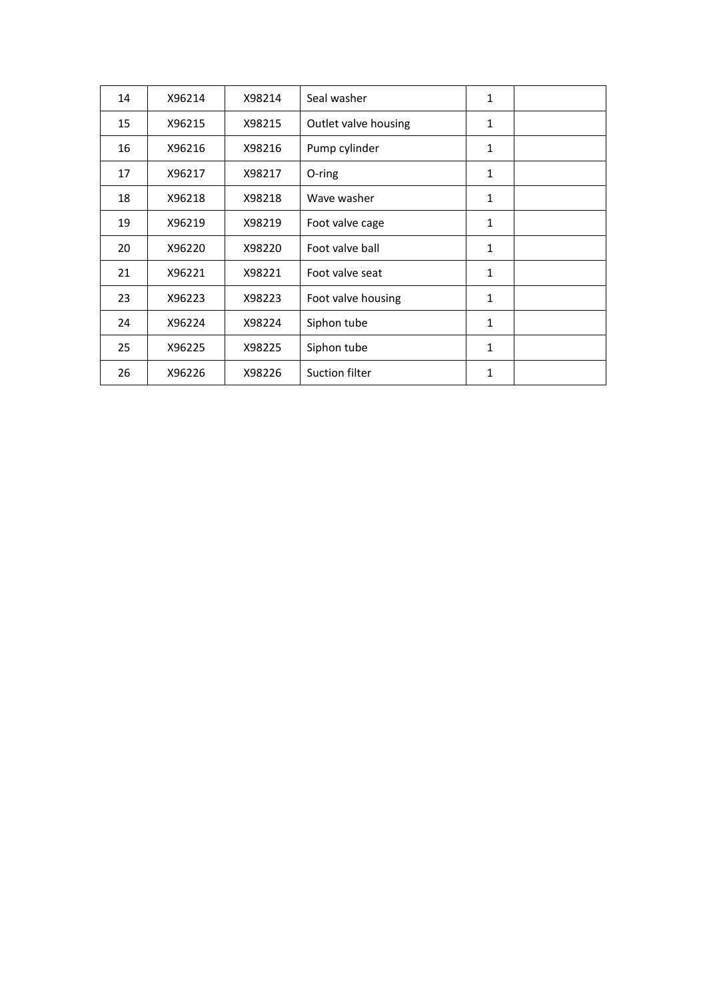| 14 | X96214 | X98214 | Seal washer          | $\mathbf{1}$ |  |
|----|--------|--------|----------------------|--------------|--|
| 15 | X96215 | X98215 | Outlet valve housing | 1            |  |
| 16 | X96216 | X98216 | Pump cylinder        | 1            |  |
| 17 | X96217 | X98217 | O-ring               | 1            |  |
| 18 | X96218 | X98218 | Wave washer          | 1            |  |
| 19 | X96219 | X98219 | Foot valve cage      | 1            |  |
| 20 | X96220 | X98220 | Foot valve ball      | 1            |  |
| 21 | X96221 | X98221 | Foot valve seat      | $\mathbf{1}$ |  |
| 23 | X96223 | X98223 | Foot valve housing   | 1            |  |
| 24 | X96224 | X98224 | Siphon tube          | 1            |  |
| 25 | X96225 | X98225 | Siphon tube          | 1            |  |
| 26 | X96226 | X98226 | Suction filter       | $\mathbf{1}$ |  |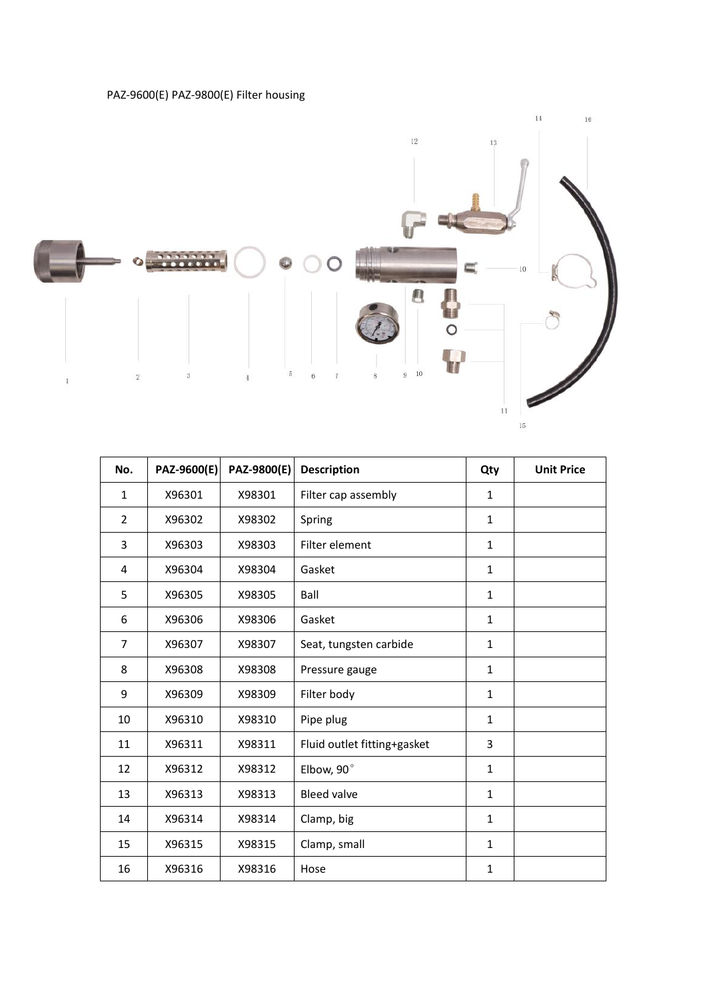#### PAZ-9600(E) PAZ-9800(E) Filter housing



| $\sqrt{2}$     | 3           | 5           | 10<br>9<br>6<br>8<br>$\overline{7}$ | $11\,$       | $\overline{\mathscr{N}}$<br>15 |
|----------------|-------------|-------------|-------------------------------------|--------------|--------------------------------|
| No.            | PAZ-9600(E) | PAZ-9800(E) | <b>Description</b>                  | Qty          | <b>Unit Price</b>              |
| $\mathbf{1}$   | X96301      | X98301      | Filter cap assembly                 | $\mathbf{1}$ |                                |
| $\overline{2}$ | X96302      | X98302      | Spring                              | $\mathbf{1}$ |                                |
| 3              | X96303      | X98303      | Filter element                      | $\mathbf{1}$ |                                |
| 4              | X96304      | X98304      | Gasket                              | $\mathbf{1}$ |                                |
| 5              | X96305      | X98305      | Ball                                | $\mathbf{1}$ |                                |
| 6              | X96306      | X98306      | Gasket                              | $\mathbf{1}$ |                                |
| $\overline{7}$ | X96307      | X98307      | Seat, tungsten carbide              | $\mathbf{1}$ |                                |
| 8              | X96308      | X98308      | Pressure gauge                      | $\mathbf{1}$ |                                |
| 9              | X96309      | X98309      | Filter body                         | $\mathbf{1}$ |                                |
| 10             | X96310      | X98310      | Pipe plug                           | $\mathbf{1}$ |                                |
| 11             | X96311      | X98311      | Fluid outlet fitting+gasket         | 3            |                                |
| 12             | X96312      | X98312      | Elbow, 90°                          | $\mathbf{1}$ |                                |
| 13             | X96313      | X98313      | <b>Bleed valve</b>                  | $\mathbf{1}$ |                                |
| 14             | X96314      | X98314      | Clamp, big                          | $\mathbf{1}$ |                                |
| 15             | X96315      | X98315      | Clamp, small                        | $\mathbf{1}$ |                                |
| 16             | X96316      | X98316      | Hose                                | $\mathbf{1}$ |                                |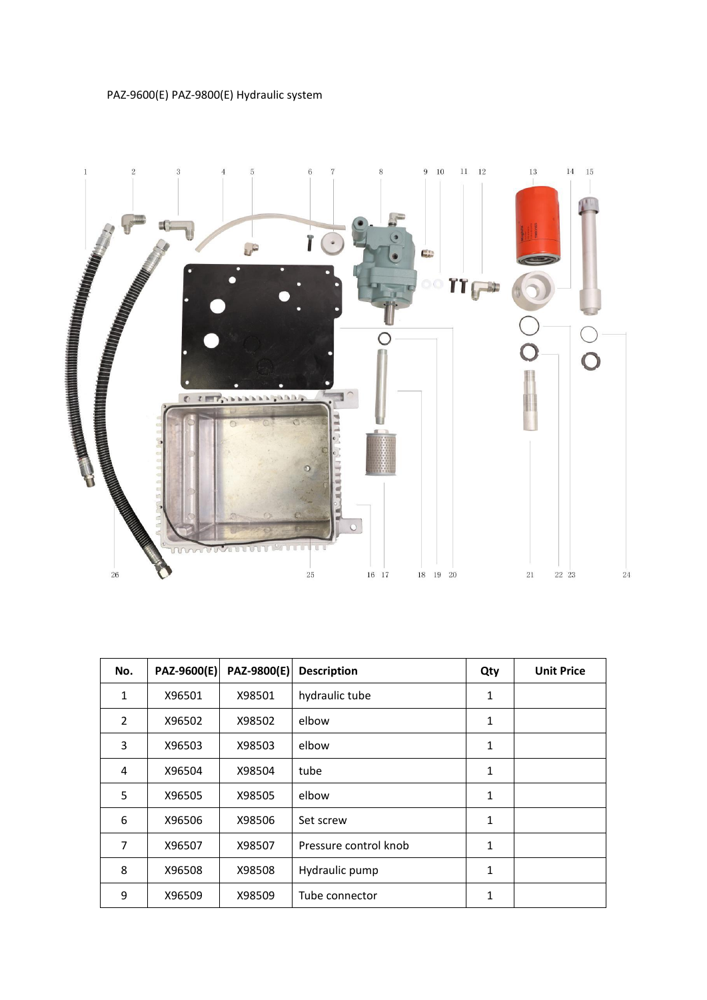## PAZ-9600(E) PAZ-9800(E) Hydraulic system



| <b>CONTRACTOR</b><br>26 | mnn         |             | 25<br>16 17<br>18     | 19<br>20     | 21 | 22 23             |
|-------------------------|-------------|-------------|-----------------------|--------------|----|-------------------|
|                         |             |             |                       |              |    |                   |
|                         |             |             |                       |              |    |                   |
| No.                     | PAZ-9600(E) | PAZ-9800(E) | <b>Description</b>    | Qty          |    | <b>Unit Price</b> |
| $\mathbf{1}$            | X96501      | X98501      | hydraulic tube        | $\mathbf{1}$ |    |                   |
| $\overline{2}$          | X96502      | X98502      | elbow                 | $\mathbf{1}$ |    |                   |
| 3                       | X96503      | X98503      | elbow                 | $\mathbf{1}$ |    |                   |
| 4                       | X96504      | X98504      | tube                  | $\mathbf{1}$ |    |                   |
| 5                       | X96505      | X98505      | elbow                 | $\mathbf{1}$ |    |                   |
| 6                       | X96506      | X98506      | Set screw             | $\mathbf{1}$ |    |                   |
| $\overline{7}$          | X96507      | X98507      | Pressure control knob | $\mathbf{1}$ |    |                   |
| 8                       | X96508      | X98508      | Hydraulic pump        | $\mathbf{1}$ |    |                   |
|                         | X96509      | X98509      | Tube connector        | $\mathbf{1}$ |    |                   |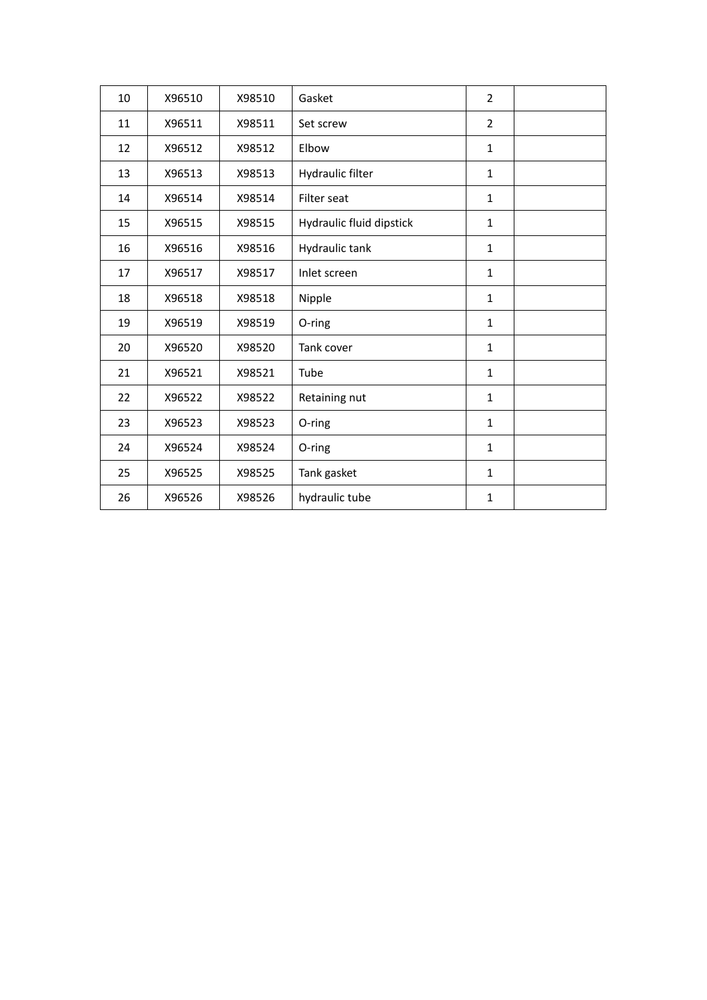| 10 | X96510 | X98510 | Gasket                   | $\overline{2}$ |  |
|----|--------|--------|--------------------------|----------------|--|
| 11 | X96511 | X98511 | Set screw                | $\overline{2}$ |  |
| 12 | X96512 | X98512 | Elbow                    | $\mathbf{1}$   |  |
| 13 | X96513 | X98513 | Hydraulic filter         | $\mathbf{1}$   |  |
| 14 | X96514 | X98514 | Filter seat              | $\mathbf{1}$   |  |
| 15 | X96515 | X98515 | Hydraulic fluid dipstick | $\mathbf{1}$   |  |
| 16 | X96516 | X98516 | Hydraulic tank           | $\mathbf{1}$   |  |
| 17 | X96517 | X98517 | Inlet screen             | $\mathbf{1}$   |  |
| 18 | X96518 | X98518 | Nipple                   | $\mathbf{1}$   |  |
| 19 | X96519 | X98519 | O-ring                   | $\mathbf{1}$   |  |
| 20 | X96520 | X98520 | Tank cover               | $\mathbf{1}$   |  |
| 21 | X96521 | X98521 | Tube                     | $\mathbf{1}$   |  |
| 22 | X96522 | X98522 | Retaining nut            | $\mathbf{1}$   |  |
| 23 | X96523 | X98523 | O-ring                   | $\mathbf{1}$   |  |
| 24 | X96524 | X98524 | O-ring                   | $\mathbf{1}$   |  |
| 25 | X96525 | X98525 | Tank gasket              | $\mathbf{1}$   |  |
| 26 | X96526 | X98526 | hydraulic tube           | $\mathbf{1}$   |  |